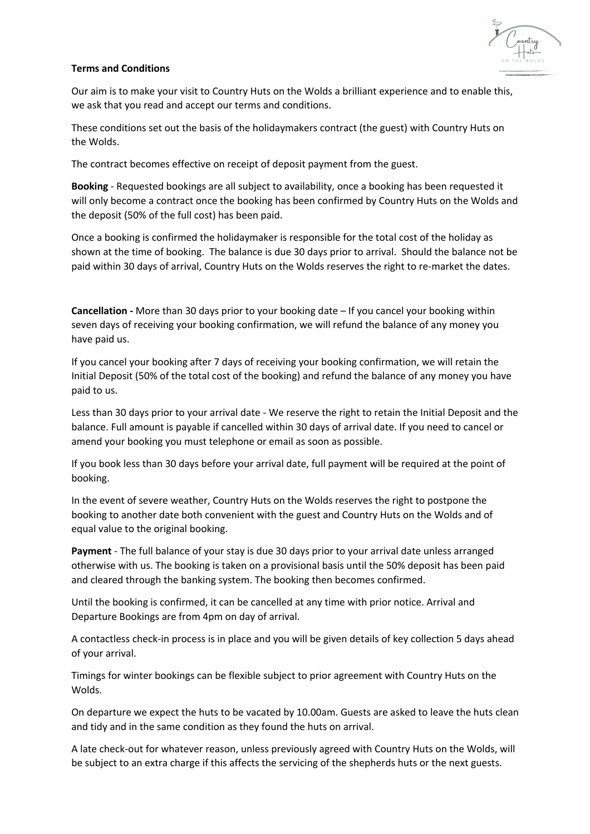

## **Terms and Conditions**

Our aim is to make your visit to Country Huts on the Wolds a brilliant experience and to enable this, we ask that you read and accept our terms and conditions.

These conditions set out the basis of the holidaymakers contract (the guest) with Country Huts on the Wolds.

The contract becomes effective on receipt of deposit payment from the guest.

**Booking** - Requested bookings are all subject to availability, once a booking has been requested it will only become a contract once the booking has been confirmed by Country Huts on the Wolds and the deposit (50% of the full cost) has been paid.

Once a booking is confirmed the holidaymaker is responsible for the total cost of the holiday as shown at the time of booking. The balance is due 30 days prior to arrival. Should the balance not be paid within 30 days of arrival, Country Huts on the Wolds reserves the right to re-market the dates.

**Cancellation -** More than 30 days prior to your booking date – If you cancel your booking within seven days of receiving your booking confirmation, we will refund the balance of any money you have paid us.

If you cancel your booking after 7 days of receiving your booking confirmation, we will retain the Initial Deposit (50% of the total cost of the booking) and refund the balance of any money you have paid to us.

Less than 30 days prior to your arrival date - We reserve the right to retain the Initial Deposit and the balance. Full amount is payable if cancelled within 30 days of arrival date. If you need to cancel or amend your booking you must telephone or email as soon as possible.

If you book less than 30 days before your arrival date, full payment will be required at the point of booking.

In the event of severe weather, Country Huts on the Wolds reserves the right to postpone the booking to another date both convenient with the guest and Country Huts on the Wolds and of equal value to the original booking.

**Payment** - The full balance of your stay is due 30 days prior to your arrival date unless arranged otherwise with us. The booking is taken on a provisional basis until the 50% deposit has been paid and cleared through the banking system. The booking then becomes confirmed.

Until the booking is confirmed, it can be cancelled at any time with prior notice. Arrival and Departure Bookings are from 4pm on day of arrival.

A contactless check-in process is in place and you will be given details of key collection 5 days ahead of your arrival.

Timings for winter bookings can be flexible subject to prior agreement with Country Huts on the Wolds.

On departure we expect the huts to be vacated by 10.00am. Guests are asked to leave the huts clean and tidy and in the same condition as they found the huts on arrival.

A late check-out for whatever reason, unless previously agreed with Country Huts on the Wolds, will be subject to an extra charge if this affects the servicing of the shepherds huts or the next guests.